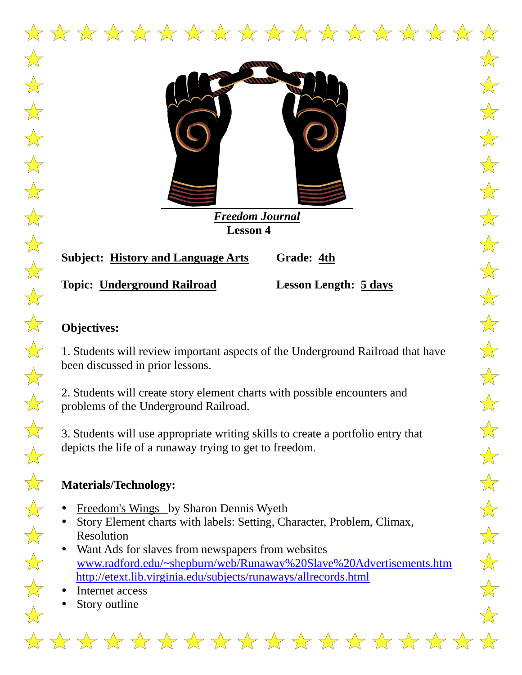

*Freedom Journal*  **Lesson 4**

**Subject: History and Language Arts Grade: 4th**

**Topic: Underground Railroad Lesson Length: 5 days**

 $\overleftrightarrow{\lambda}$ 

 $\frac{1}{\sqrt{2}}$ 

 $\overrightarrow{\lambda}$ 

 $\frac{1}{\sqrt{2}}$ 

 $\frac{1}{\sqrt{2}}$ 

 $\frac{1}{\sqrt{2}}$ 

 $\frac{1}{\sqrt{2}}$ 

 $\frac{1}{\sqrt{2}}$ 

 $\frac{1}{\sqrt{2}}$ 

 $\overrightarrow{\mathbf{x}}$ 

 $\frac{1}{\sqrt{2}}$ 

 $\frac{1}{\sqrt{2}}$ 

 $\overrightarrow{\mathbf{x}}$ 

 $\frac{1}{\sqrt{2}}$ 

 $\frac{1}{\sqrt{2}}$ 

 $\frac{1}{\sqrt{2}}$ 

 $\frac{1}{\sqrt{2}}$ 

 $\frac{1}{\sqrt{2}}$ 

 $\frac{1}{\sqrt{2}}$ 

 $\frac{1}{\sqrt{2}}$ 

 $\overleftrightarrow{\lambda}$ 

 $\bigvee$ 

# **Objectives:**

1. Students will review important aspects of the Underground Railroad that have been discussed in prior lessons.

2. Students will create story element charts with possible encounters and problems of the Underground Railroad.

3. Students will use appropriate writing skills to create a portfolio entry that depicts the life of a runaway trying to get to freedom.

## **Materials/Technology:**

- Freedom's Wings by Sharon Dennis Wyeth
- Story Element charts with labels: Setting, Character, Problem, Climax, Resolution
- Want Ads for slaves from newspapers from websites [www.radford.edu/~shepburn/web/Runaway%20Slave%20Advertisements.htm](http://) [http://etext.lib.virginia.edu/subjects/runaways/allrecords.html](http://)
- Internet access
- Story outline

\* \* \* \* \* \* \* \* \* \* \* \* \* \* \* \* \* \* \* \*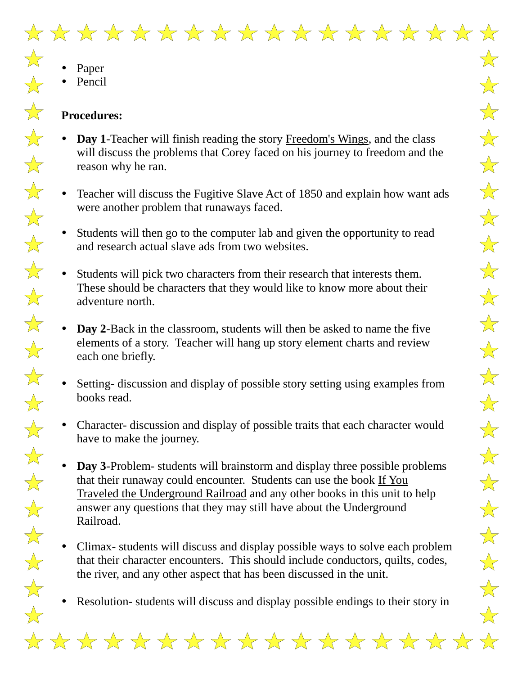

 $\frac{1}{\sqrt{2}}$ 

 $\frac{1}{\sqrt{2}}$ 

 $\frac{1}{\sqrt{2}}$ 

 $\frac{1}{2}$ 

 $\frac{1}{\sqrt{2}}$ 

 $\bigstar$ 

 $\frac{1}{\sqrt{2}}$ 

 $\frac{1}{\sqrt{2}}$ 

 $\frac{1}{\sqrt{2}}$ 

 $\frac{1}{\sqrt{2}}$ 

 $\frac{1}{\sqrt{2}}$ 

 $\frac{1}{\sqrt{2}}$ 

 $\frac{1}{\sqrt{2}}$ 

 $\frac{1}{\sqrt{2}}$ 

 $\frac{1}{\sqrt{2}}$ 

 $\frac{1}{\sqrt{2}}$ 

 $\frac{1}{\sqrt{2}}$ 

 $\frac{1}{\sqrt{2}}$ 

 $\frac{1}{\sqrt{2}}$ 

 $\frac{1}{\sqrt{2}}$ 

 $\frac{1}{\sqrt{2}}$ 

 $\frac{1}{\sqrt{2}}$ 

• Pencil

### **Procedures:**

- **Day 1**-Teacher will finish reading the story Freedom's Wings, and the class will discuss the problems that Corey faced on his journey to freedom and the reason why he ran.
- Teacher will discuss the Fugitive Slave Act of 1850 and explain how want ads were another problem that runaways faced.
- Students will then go to the computer lab and given the opportunity to read and research actual slave ads from two websites.
- Students will pick two characters from their research that interests them. These should be characters that they would like to know more about their adventure north.
- **Day 2**-Back in the classroom, students will then be asked to name the five elements of a story. Teacher will hang up story element charts and review each one briefly.
- Setting- discussion and display of possible story setting using examples from books read.
- Character- discussion and display of possible traits that each character would have to make the journey.
- **Day 3**-Problem- students will brainstorm and display three possible problems that their runaway could encounter. Students can use the book If You Traveled the Underground Railroad and any other books in this unit to help answer any questions that they may still have about the Underground Railroad.
- Climax- students will discuss and display possible ways to solve each problem that their character encounters. This should include conductors, quilts, codes, the river, and any other aspect that has been discussed in the unit.
- Resolution- students will discuss and display possible endings to their story in